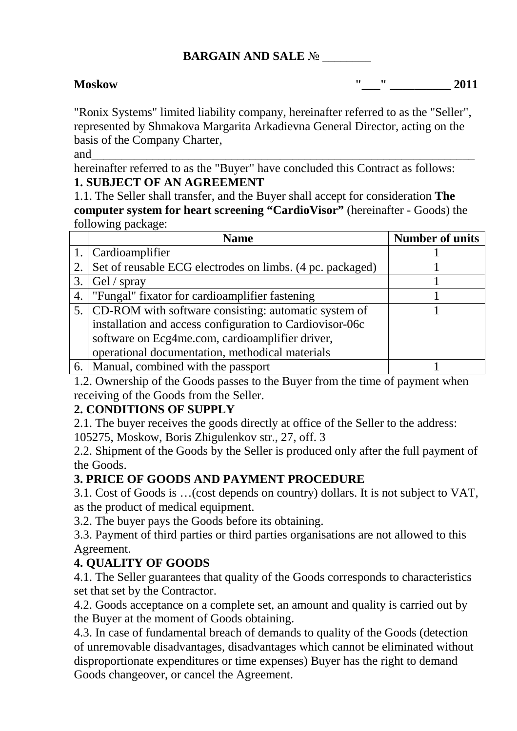## **BARGAIN AND SALE** № \_\_\_\_\_\_\_\_

**Moskow "\_\_\_" \_\_\_\_\_\_\_\_\_\_ 2011** 

"Ronix Systems" limited liability company, hereinafter referred to as the "Seller", represented by Shmakova Margarita Arkadievna General Director, acting on the basis of the Company Charter,

and\_\_\_\_\_\_\_\_\_\_\_\_\_\_\_\_\_\_\_\_\_\_\_\_\_\_\_\_\_\_\_\_\_\_\_\_\_\_\_\_\_\_\_\_\_\_\_\_\_\_\_\_\_\_\_\_\_\_\_\_\_\_\_

hereinafter referred to as the "Buyer" have concluded this Contract as follows: **1. SUBJECT OF AN AGREEMENT** 

1.1. The Seller shall transfer, and the Buyer shall accept for consideration **The computer system for heart screening "CardioVisor"** (hereinafter - Goods) the following package:

|    | <b>Name</b>                                               | <b>Number of units</b> |
|----|-----------------------------------------------------------|------------------------|
|    | 1.   Cardioamplifier                                      |                        |
| 2. | Set of reusable ECG electrodes on limbs. (4 pc. packaged) |                        |
| 3. | $\left  \right.$ Gel / spray                              |                        |
| 4. | "Fungal" fixator for cardioamplifier fastening            |                        |
|    | 5. CD-ROM with software consisting: automatic system of   |                        |
|    | installation and access configuration to Cardiovisor-06c  |                        |
|    | software on Ecg4me.com, cardioamplifier driver,           |                        |
|    | operational documentation, methodical materials           |                        |
|    | 6.   Manual, combined with the passport                   |                        |

1.2. Ownership of the Goods passes to the Buyer from the time of payment when receiving of the Goods from the Seller.

### **2. CONDITIONS OF SUPPLY**

2.1. The buyer receives the goods directly at office of the Seller to the address:

105275, Moskow, Boris Zhigulenkov str., 27, off. 3

2.2. Shipment of the Goods by the Seller is produced only after the full payment of the Goods.

### **3. PRICE OF GOODS AND PAYMENT PROCEDURE**

3.1. Cost of Goods is …(cost depends on country) dollars. It is not subject to VAT, as the product of medical equipment.

3.2. The buyer pays the Goods before its obtaining.

3.3. Payment of third parties or third parties organisations are not allowed to this Agreement.

### **4. QUALITY OF GOODS**

4.1. The Seller guarantees that quality of the Goods corresponds to characteristics set that set by the Contractor.

4.2. Goods acceptance on a complete set, an amount and quality is carried out by the Buyer at the moment of Goods obtaining.

4.3. In case of fundamental breach of demands to quality of the Goods (detection of unremovable disadvantages, disadvantages which cannot be eliminated without disproportionate expenditures or time expenses) Buyer has the right to demand Goods changeover, or cancel the Agreement.